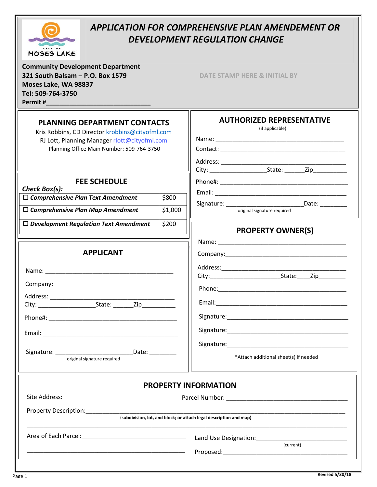

## *APPLICATION FOR COMPREHENSIVE PLAN AMENDEMENT OR DEVELOPMENT REGULATION CHANGE*

| <b>Community Development Department</b><br>321 South Balsam - P.O. Box 1579<br>Moses Lake, WA 98837<br>Tel: 509-764-3750                                                            |         | DATE STAMP HERE & INITIAL BY                        |
|-------------------------------------------------------------------------------------------------------------------------------------------------------------------------------------|---------|-----------------------------------------------------|
| <b>PLANNING DEPARTMENT CONTACTS</b><br>Kris Robbins, CD Director krobbins@cityofml.com<br>RJ Lott, Planning Manager rlott@cityofml.com<br>Planning Office Main Number: 509-764-3750 |         | <b>AUTHORIZED REPRESENTATIVE</b><br>(if applicable) |
| <b>FEE SCHEDULE</b>                                                                                                                                                                 |         |                                                     |
| Check Box(s):<br>$\Box$ Comprehensive Plan Text Amendment                                                                                                                           | \$800   |                                                     |
| $\Box$ Comprehensive Plan Map Amendment                                                                                                                                             | \$1,000 | original signature required                         |
| $\Box$ Development Regulation Text Amendment                                                                                                                                        | \$200   | <b>PROPERTY OWNER(S)</b>                            |
| <b>APPLICANT</b><br>Email:<br>Date: 1988<br>original signature required                                                                                                             |         | *Attach additional sheet(s) if needed               |
| <b>PROPERTY INFORMATION</b>                                                                                                                                                         |         |                                                     |
|                                                                                                                                                                                     |         | (current)                                           |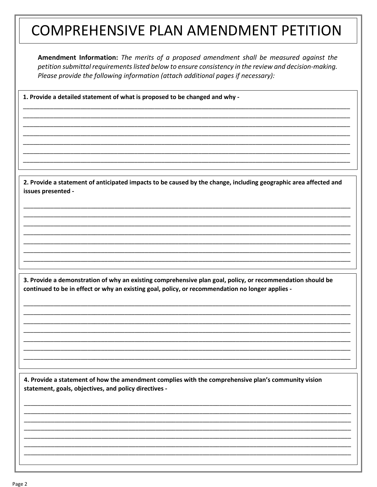# **COMPREHENSIVE PLAN AMENDMENT PETITION**

Amendment Information: The merits of a proposed amendment shall be measured against the petition submittal requirements listed below to ensure consistency in the review and decision-making. Please provide the following information (attach additional pages if necessary):

1. Provide a detailed statement of what is proposed to be changed and why -

2. Provide a statement of anticipated impacts to be caused by the change, including geographic area affected and issues presented -

3. Provide a demonstration of why an existing comprehensive plan goal, policy, or recommendation should be continued to be in effect or why an existing goal, policy, or recommendation no longer applies -

4. Provide a statement of how the amendment complies with the comprehensive plan's community vision statement, goals, objectives, and policy directives -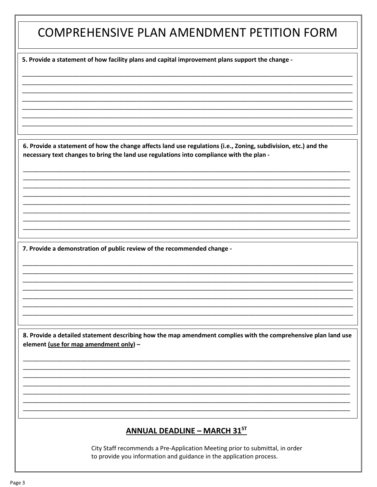## **COMPREHENSIVE PLAN AMENDMENT PETITION FORM**

5. Provide a statement of how facility plans and capital improvement plans support the change -

6. Provide a statement of how the change affects land use regulations (i.e., Zoning, subdivision, etc.) and the necessary text changes to bring the land use regulations into compliance with the plan -

7. Provide a demonstration of public review of the recommended change -

8. Provide a detailed statement describing how the map amendment complies with the comprehensive plan land use element (use for map amendment only) -

#### **ANNUAL DEADLINE - MARCH 31ST**

City Staff recommends a Pre-Application Meeting prior to submittal, in order to provide you information and guidance in the application process.